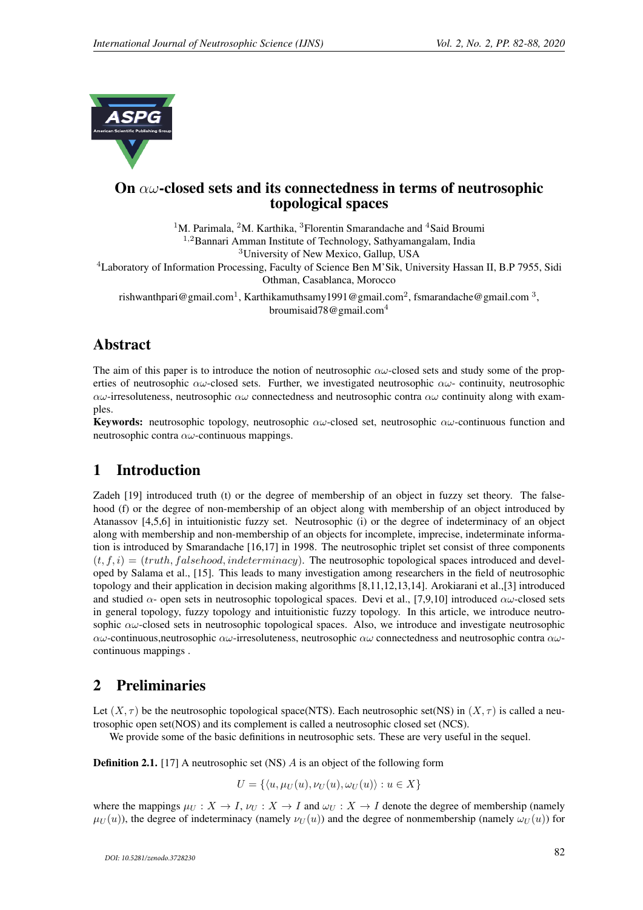

# On  $\alpha\omega$ -closed sets and its connectedness in terms of neutrosophic topological spaces

<sup>1</sup>M. Parimala, <sup>2</sup>M. Karthika, <sup>3</sup>Florentin Smarandache and <sup>4</sup>Said Broumi <sup>1</sup>,<sup>2</sup>Bannari Amman Institute of Technology, Sathyamangalam, India

<sup>3</sup>University of New Mexico, Gallup, USA

<sup>4</sup>Laboratory of Information Processing, Faculty of Science Ben M'Sik, University Hassan II, B.P 7955, Sidi Othman, Casablanca, Morocco

rishwanthpari@gmail.com<sup>1</sup>, Karthikamuthsamy1991@gmail.com<sup>2</sup>, fsmarandache@gmail.com<sup>3</sup>, broumisaid78@gmail.com<sup>4</sup>

# Abstract

The aim of this paper is to introduce the notion of neutrosophic  $\alpha\omega$ -closed sets and study some of the properties of neutrosophic  $\alpha\omega$ -closed sets. Further, we investigated neutrosophic  $\alpha\omega$ - continuity, neutrosophic  $\alpha\omega$ -irresoluteness, neutrosophic  $\alpha\omega$  connectedness and neutrosophic contra  $\alpha\omega$  continuity along with examples.

**Keywords:** neutrosophic topology, neutrosophic  $\alpha\omega$ -closed set, neutrosophic  $\alpha\omega$ -continuous function and neutrosophic contra  $\alpha\omega$ -continuous mappings.

# 1 Introduction

Zadeh [19] introduced truth (t) or the degree of membership of an object in fuzzy set theory. The falsehood (f) or the degree of non-membership of an object along with membership of an object introduced by Atanassov [4,5,6] in intuitionistic fuzzy set. Neutrosophic (i) or the degree of indeterminacy of an object along with membership and non-membership of an objects for incomplete, imprecise, indeterminate information is introduced by Smarandache [16,17] in 1998. The neutrosophic triplet set consist of three components  $(t, f, i) = (truth, falsehood, indeterminate)$ . The neutrosophic topological spaces introduced and developed by Salama et al., [15]. This leads to many investigation among researchers in the field of neutrosophic topology and their application in decision making algorithms [8,11,12,13,14]. Arokiarani et al.,[3] introduced and studied  $\alpha$ - open sets in neutrosophic topological spaces. Devi et al., [7,9,10] introduced  $\alpha\omega$ -closed sets in general topology, fuzzy topology and intuitionistic fuzzy topology. In this article, we introduce neutrosophic  $\alpha\omega$ -closed sets in neutrosophic topological spaces. Also, we introduce and investigate neutrosophic  $\alpha\omega$ -continuous,neutrosophic  $\alpha\omega$ -irresoluteness, neutrosophic  $\alpha\omega$  connectedness and neutrosophic contra  $\alpha\omega$ continuous mappings .

# 2 Preliminaries

Let  $(X, \tau)$  be the neutrosophic topological space(NTS). Each neutrosophic set(NS) in  $(X, \tau)$  is called a neutrosophic open set(NOS) and its complement is called a neutrosophic closed set (NCS).

We provide some of the basic definitions in neutrosophic sets. These are very useful in the sequel.

**Definition 2.1.** [17] A neutrosophic set (NS)  $\vec{A}$  is an object of the following form

 $U = \{ \langle u, \mu_U (u), \nu_U (u), \omega_U (u) \rangle : u \in X \}$ 

where the mappings  $\mu_U : X \to I$ ,  $\nu_U : X \to I$  and  $\omega_U : X \to I$  denote the degree of membership (namely  $\mu_U(u)$ , the degree of indeterminacy (namely  $\nu_U(u)$ ) and the degree of nonmembership (namely  $\omega_U(u)$ ) for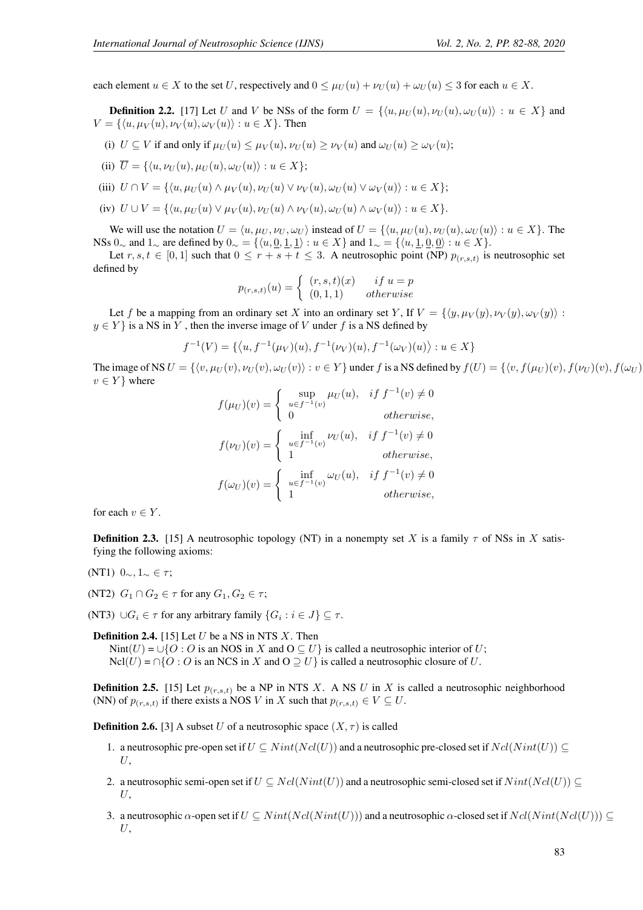each element  $u \in X$  to the set U, respectively and  $0 \leq \mu_U(u) + \nu_U(u) + \omega_U(u) \leq 3$  for each  $u \in X$ .

**Definition 2.2.** [17] Let U and V be NSs of the form  $U = \{ \langle u, \mu_U(u), \nu_U(u), \omega_U(u) \rangle : u \in X \}$  and  $V = \{\langle u, \mu_V(u), \nu_V(u), \omega_V(u)\rangle : u \in X\}.$  Then

- (i)  $U \subseteq V$  if and only if  $\mu_U(u) \leq \mu_V(u)$ ,  $\nu_U(u) \geq \nu_V(u)$  and  $\omega_U(u) \geq \omega_V(u)$ ;
- (ii)  $\overline{U} = \{\langle u, \nu_U (u), \mu_U (u), \omega_U (u)\rangle : u \in X\};\$
- (iii)  $U \cap V = \{ \langle u, \mu_U(u) \wedge \mu_V(u), \nu_U(u) \vee \nu_V(u), \omega_U(u) \vee \omega_V(u) \rangle : u \in X \};$
- (iv)  $U \cup V = \{ \langle u, \mu_U(u) \vee \mu_V(u), \nu_U(u) \wedge \nu_V(u), \omega_U(u) \wedge \omega_V(u) \rangle : u \in X \}.$

We will use the notation  $U = \langle u, \mu_U, v_U, \omega_U \rangle$  instead of  $U = \{\langle u, \mu_U(u), v_U(u), \omega_U(u)\rangle : u \in X\}.$  The NSs 0∼ and 1∼ are defined by  $0 \sim = \{ \langle u, \underline{0}, \underline{1}, \underline{1} \rangle : u \in X \}$  and  $1 \sim = \{ \langle u, \underline{1}, \underline{0}, \underline{0} \rangle : u \in X \}.$ 

Let  $r, s, t \in [0, 1]$  such that  $0 \le r + s + t \le 3$ . A neutrosophic point (NP)  $p_{(r,s,t)}$  is neutrosophic set defined by

$$
p_{(r,s,t)}(u) = \begin{cases} (r,s,t)(x) & if \ u = p \\ (0,1,1) & otherwise \end{cases}
$$

Let f be a mapping from an ordinary set X into an ordinary set Y, If  $V = \{ \langle y, \mu_V(y), \nu_V(y), \omega_V(y) \rangle :$  $y \in Y$  is a NS in Y, then the inverse image of V under f is a NS defined by

$$
f^{-1}(V) = \{ \langle u, f^{-1}(\mu_V)(u), f^{-1}(\nu_V)(u), f^{-1}(\omega_V)(u) \rangle : u \in X \}
$$

The image of NS  $U = \{ \langle v, \mu_U(v), v_U(v), \omega_U(v) \rangle : v \in Y \}$  under f is a NS defined by  $f(U) = \{ \langle v, f(\mu_U)(v), f(\omega_U)(v), f(\omega_U)(v) \rangle : v \in Y \}$  $v \in Y$  where

$$
f(\mu_U)(v) = \begin{cases} \sup_{u \in f^{-1}(v)} \mu_U(u), & if f^{-1}(v) \neq 0 \\ 0 & otherwise, \end{cases}
$$
  

$$
f(\nu_U)(v) = \begin{cases} \inf_{u \in f^{-1}(v)} \nu_U(u), & if f^{-1}(v) \neq 0 \\ 1 & otherwise, \end{cases}
$$
  

$$
f(\omega_U)(v) = \begin{cases} \inf_{u \in f^{-1}(v)} \omega_U(u), & if f^{-1}(v) \neq 0 \\ 1 & otherwise, \end{cases}
$$

for each  $v \in Y$ .

**Definition 2.3.** [15] A neutrosophic topology (NT) in a nonempty set X is a family  $\tau$  of NSs in X satisfying the following axioms:

- (NT1)  $0\_\sim, 1\_\sim$  ∈  $τ;$
- (NT2)  $G_1 \cap G_2 \in \tau$  for any  $G_1, G_2 \in \tau$ ;
- (NT3)  $\cup G_i \in \tau$  for any arbitrary family  $\{G_i : i \in J\} \subseteq \tau$ .

**Definition 2.4.** [15] Let  $U$  be a NS in NTS  $X$ . Then Nint(U) = ∪{O : O is an NOS in X and O  $\subseteq U$ } is called a neutrosophic interior of U;  $Ncl(U) = \bigcap \{O : O \text{ is an NCS in } X \text{ and } O \supseteq U\}$  is called a neutrosophic closure of U.

**Definition 2.5.** [15] Let  $p_{(r,s,t)}$  be a NP in NTS X. A NS U in X is called a neutrosophic neighborhood (NN) of  $p_{(r,s,t)}$  if there exists a NOS V in X such that  $p_{(r,s,t)} \in V \subseteq U$ .

**Definition 2.6.** [3] A subset U of a neutrosophic space  $(X, \tau)$  is called

- 1. a neutrosophic pre-open set if  $U \subseteq Nint(Ncl(U))$  and a neutrosophic pre-closed set if  $Ncl(Nint(U)) \subseteq$  $U$ .
- 2. a neutrosophic semi-open set if  $U \subseteq Ncl(Nint(U))$  and a neutrosophic semi-closed set if  $Nint(Ncl(U)) \subseteq$  $U$ ,
- 3. a neutrosophic  $\alpha$ -open set if  $U \subseteq Nint(Ncl(Nint(U)))$  and a neutrosophic  $\alpha$ -closed set if  $Ncl(Nint(Ncl(U))) \subseteq$  $U$ ,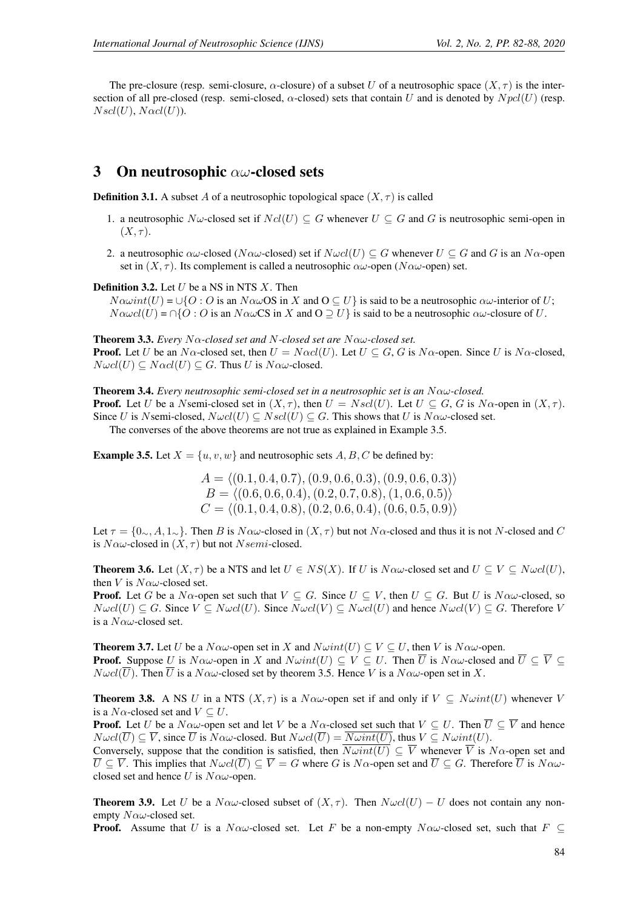The pre-closure (resp. semi-closure,  $\alpha$ -closure) of a subset U of a neutrosophic space  $(X, \tau)$  is the intersection of all pre-closed (resp. semi-closed,  $\alpha$ -closed) sets that contain U and is denoted by  $N \text{pcl}(U)$  (resp.  $N\mathfrak{sol}(U)$ ,  $N\alpha cl(U)$ ).

### 3 On neutrosophic  $\alpha\omega$ -closed sets

**Definition 3.1.** A subset A of a neutrosophic topological space  $(X, \tau)$  is called

- 1. a neutrosophic N $\omega$ -closed set if  $Ncl(U) \subseteq G$  whenever  $U \subseteq G$  and G is neutrosophic semi-open in  $(X, \tau)$ .
- 2. a neutrosophic  $\alpha\omega$ -closed (N $\alpha\omega$ -closed) set if  $N\omega cl(U) \subseteq G$  whenever  $U \subseteq G$  and G is an N $\alpha$ -open set in  $(X, \tau)$ . Its complement is called a neutrosophic  $\alpha\omega$ -open (N $\alpha\omega$ -open) set.

**Definition 3.2.** Let  $U$  be a NS in NTS  $X$ . Then

 $N\alpha\omega int(U) = \bigcup\{O: O \text{ is an } N\alpha\omega\text{OS in } X \text{ and } O \subseteq U\}$  is said to be a neutrosophic  $\alpha\omega$ -interior of U;  $N\alpha\omega c l(U) = \bigcap \{O : O \text{ is an }N\alpha\omega\text{CS in }X \text{ and } O \supseteq U\}$  is said to be a neutrosophic  $\alpha\omega$ -closure of U.

Theorem 3.3. *Every* Nα*-closed set and* N*-closed set are* Nαω*-closed set.* **Proof.** Let U be an N $\alpha$ -closed set, then  $U = N \alpha c l(U)$ . Let  $U \subseteq G$ , G is N $\alpha$ -open. Since U is N $\alpha$ -closed,  $N\omega cl(U) \subseteq N\alpha cl(U) \subseteq G$ . Thus U is  $N\alpha\omega$ -closed.

**Theorem 3.4.** *Every neutrosophic semi-closed set in a neutrosophic set is an*  $N \alpha \omega$ -closed. **Proof.** Let U be a Nsemi-closed set in  $(X, \tau)$ , then  $U = Nscl(U)$ . Let  $U \subseteq G$ , G is  $N\alpha$ -open in  $(X, \tau)$ . Since U is Nsemi-closed,  $N\omega cl(U) \subseteq Nsl(U) \subseteq G$ . This shows that U is  $N\alpha\omega$ -closed set.

The converses of the above theorems are not true as explained in Example 3.5.

**Example 3.5.** Let  $X = \{u, v, w\}$  and neutrosophic sets  $A, B, C$  be defined by:

 $A = \langle (0.1, 0.4, 0.7), (0.9, 0.6, 0.3), (0.9, 0.6, 0.3) \rangle$  $B = \langle (0.6, 0.6, 0.4), (0.2, 0.7, 0.8), (1, 0.6, 0.5) \rangle$  $C = \langle (0.1, 0.4, 0.8), (0.2, 0.6, 0.4), (0.6, 0.5, 0.9) \rangle$ 

Let  $\tau = \{0, A, 1, \ldots\}$ . Then B is N $\alpha\omega$ -closed in  $(X, \tau)$  but not N $\alpha$ -closed and thus it is not N-closed and C is  $N \alpha \omega$ -closed in  $(X, \tau)$  but not  $N$ semi-closed.

**Theorem 3.6.** Let  $(X, \tau)$  be a NTS and let  $U \in NS(X)$ . If U is  $N \alpha \omega$ -closed set and  $U \subseteq V \subseteq N \omega c l(U)$ , then V is  $N\alpha\omega$ -closed set.

**Proof.** Let G be a N $\alpha$ -open set such that  $V \subseteq G$ . Since  $U \subseteq V$ , then  $U \subseteq G$ . But U is N $\alpha\omega$ -closed, so  $N\omega cl(U) \subseteq G$ . Since  $V \subseteq N\omega cl(U)$ . Since  $N\omega cl(V) \subseteq N\omega cl(U)$  and hence  $N\omega cl(V) \subseteq G$ . Therefore V is a  $N\alpha\omega$ -closed set.

**Theorem 3.7.** Let U be a  $N \alpha \omega$ -open set in X and  $N \omega int(U) \subseteq V \subseteq U$ , then V is  $N \alpha \omega$ -open. **Proof.** Suppose U is  $N \alpha \omega$ -open in X and  $N \omega int(U) \subseteq V \subseteq U$ . Then  $\overline{U}$  is  $N \alpha \omega$ -closed and  $\overline{U} \subseteq \overline{V} \subseteq$  $N\omega cl(\overline{U})$ . Then  $\overline{U}$  is a  $N\alpha\omega$ -closed set by theorem 3.5. Hence V is a  $N\alpha\omega$ -open set in X.

**Theorem 3.8.** A NS U in a NTS  $(X, \tau)$  is a N $\alpha\omega$ -open set if and only if  $V \subseteq N\omega int(U)$  whenever V is a  $N\alpha$ -closed set and  $V \subseteq U$ .

**Proof.** Let U be a  $N \alpha \omega$ -open set and let V be a  $N \alpha$ -closed set such that  $V \subseteq U$ . Then  $\overline{U} \subseteq \overline{V}$  and hence  $N\omega cl(\overline{U}) \subseteq \overline{V}$ , since  $\overline{U}$  is  $N\alpha\omega$ -closed. But  $N\omega cl(\overline{U}) = \overline{N\omega int(U)}$ , thus  $V \subseteq N\omega int(U)$ .

Conversely, suppose that the condition is satisfied, then  $\overline{N\omega int(U)} \subseteq \overline{V}$  whenever  $\overline{V}$  is  $N\alpha$ -open set and  $\overline{U} \subseteq \overline{V}$ . This implies that  $N \omega cl(\overline{U}) \subseteq \overline{V} = G$  where G is  $N \alpha$ -open set and  $\overline{U} \subseteq G$ . Therefore  $\overline{U}$  is  $N \alpha \omega$ closed set and hence U is  $N\alpha\omega$ -open.

**Theorem 3.9.** Let U be a N $\alpha\omega$ -closed subset of  $(X, \tau)$ . Then  $N\omega cl(U) - U$  does not contain any nonempty  $N \alpha \omega$ -closed set.

**Proof.** Assume that U is a N $\alpha\omega$ -closed set. Let F be a non-empty N $\alpha\omega$ -closed set, such that  $F \subset$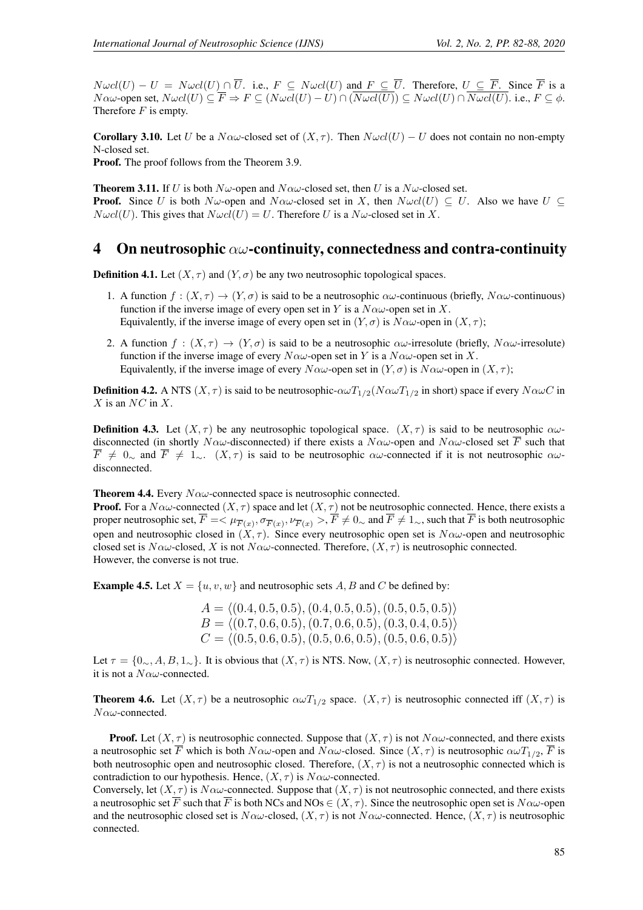$N\omega cl(U) - U = N\omega cl(U) \cap \overline{U}$ . i.e.,  $F \subseteq N\omega cl(U)$  and  $F \subseteq \overline{U}$ . Therefore,  $U \subseteq \overline{F}$ . Since  $\overline{F}$  is a  $N\alpha\omega$ -open set,  $N\omega cl(U) \subseteq \overline{F} \Rightarrow F \subseteq (N\omega cl(U) - U) \cap (\overline{N\omega cl(U)}) \subseteq N\omega cl(U) \cap \overline{N\omega cl(U)}$ . i.e.,  $F \subseteq \phi$ . Therefore  $F$  is empty.

**Corollary 3.10.** Let U be a  $N\alpha\omega$ -closed set of  $(X, \tau)$ . Then  $N\omega cl(U) - U$  does not contain no non-empty N-closed set.

Proof. The proof follows from the Theorem 3.9.

**Theorem 3.11.** If U is both  $N\omega$ -open and  $N\alpha\omega$ -closed set, then U is a  $N\omega$ -closed set. **Proof.** Since U is both  $N\omega$ -open and  $N\alpha\omega$ -closed set in X, then  $N\omega cl(U) \subseteq U$ . Also we have  $U \subseteq$  $N\omega cl(U)$ . This gives that  $N\omega cl(U) = U$ . Therefore U is a  $N\omega$ -closed set in X.

### 4 On neutrosophic  $\alpha\omega$ -continuity, connectedness and contra-continuity

**Definition 4.1.** Let  $(X, \tau)$  and  $(Y, \sigma)$  be any two neutrosophic topological spaces.

- 1. A function  $f : (X, \tau) \to (Y, \sigma)$  is said to be a neutrosophic  $\alpha\omega$ -continuous (briefly,  $N\alpha\omega$ -continuous) function if the inverse image of every open set in Y is a  $N \alpha \omega$ -open set in X. Equivalently, if the inverse image of every open set in  $(Y, \sigma)$  is  $N\alpha\omega$ -open in  $(X, \tau)$ ;
- 2. A function  $f : (X, \tau) \to (Y, \sigma)$  is said to be a neutrosophic  $\alpha \omega$ -irresolute (briefly,  $N \alpha \omega$ -irresolute) function if the inverse image of every  $N\alpha\omega$ -open set in Y is a  $N\alpha\omega$ -open set in X. Equivalently, if the inverse image of every  $N\alpha\omega$ -open set in  $(Y,\sigma)$  is  $N\alpha\omega$ -open in  $(X,\tau)$ ;

**Definition 4.2.** A NTS  $(X, \tau)$  is said to be neutrosophic- $\alpha \omega T_{1/2}(N \alpha \omega T_{1/2}$  in short) space if every  $N \alpha \omega C$  in  $X$  is an  $NC$  in  $X$ .

**Definition 4.3.** Let  $(X, \tau)$  be any neutrosophic topological space.  $(X, \tau)$  is said to be neutrosophic  $\alpha\omega$ disconnected (in shortly N $\alpha\omega$ -disconnected) if there exists a N $\alpha\omega$ -open and N $\alpha\omega$ -closed set  $\overline{F}$  such that  $\overline{F} \neq 0$ <sub>∼</sub> and  $\overline{F} \neq 1$ <sub>∼</sub>.  $(X, \tau)$  is said to be neutrosophic  $\alpha \omega$ -connected if it is not neutrosophic  $\alpha \omega$ disconnected.

**Theorem 4.4.** Every  $N \alpha \omega$ -connected space is neutrosophic connected.

**Proof.** For a  $N \alpha \omega$ -connected  $(X, \tau)$  space and let  $(X, \tau)$  not be neutrosophic connected. Hence, there exists a proper neutrosophic set,  $F=<\mu_{\overline{F}(x)},\sigma_{\overline{F}(x)},\nu_{\overline{F}(x)}>,F\neq0$  and  $F\neq1$  , such that  $F$  is both neutrosophic open and neutrosophic closed in  $(X, \tau)$ . Since every neutrosophic open set is  $N\alpha\omega$ -open and neutrosophic closed set is  $N\alpha\omega$ -closed, X is not  $N\alpha\omega$ -connected. Therefore,  $(X, \tau)$  is neutrosophic connected. However, the converse is not true.

**Example 4.5.** Let  $X = \{u, v, w\}$  and neutrosophic sets A, B and C be defined by:

 $A = \langle (0.4, 0.5, 0.5), (0.4, 0.5, 0.5), (0.5, 0.5, 0.5) \rangle$  $B = \langle (0.7, 0.6, 0.5), (0.7, 0.6, 0.5), (0.3, 0.4, 0.5) \rangle$  $C = \langle (0.5, 0.6, 0.5), (0.5, 0.6, 0.5), (0.5, 0.6, 0.5) \rangle$ 

Let  $\tau = \{0, A, B, 1, \ldots\}$ . It is obvious that  $(X, \tau)$  is NTS. Now,  $(X, \tau)$  is neutrosophic connected. However, it is not a  $N\alpha\omega$ -connected.

**Theorem 4.6.** Let  $(X, \tau)$  be a neutrosophic  $\alpha \omega T_{1/2}$  space.  $(X, \tau)$  is neutrosophic connected iff  $(X, \tau)$  is  $N\alpha\omega$ -connected.

**Proof.** Let  $(X, \tau)$  is neutrosophic connected. Suppose that  $(X, \tau)$  is not  $N \alpha \omega$ -connected, and there exists a neutrosophic set  $\overline{F}$  which is both  $N\alpha\omega$ -open and  $N\alpha\omega$ -closed. Since  $(X,\tau)$  is neutrosophic  $\alpha\omega T_{1/2}$ ,  $\overline{F}$  is both neutrosophic open and neutrosophic closed. Therefore,  $(X, \tau)$  is not a neutrosophic connected which is contradiction to our hypothesis. Hence,  $(X, \tau)$  is  $N \alpha \omega$ -connected.

Conversely, let  $(X, \tau)$  is  $N\alpha\omega$ -connected. Suppose that  $(X, \tau)$  is not neutrosophic connected, and there exists a neutrosophic set  $\overline{F}$  such that  $\overline{F}$  is both NCs and NOs  $\in (X, \tau)$ . Since the neutrosophic open set is  $N \alpha \omega$ -open and the neutrosophic closed set is  $N\alpha\omega$ -closed,  $(X, \tau)$  is not  $N\alpha\omega$ -connected. Hence,  $(X, \tau)$  is neutrosophic connected.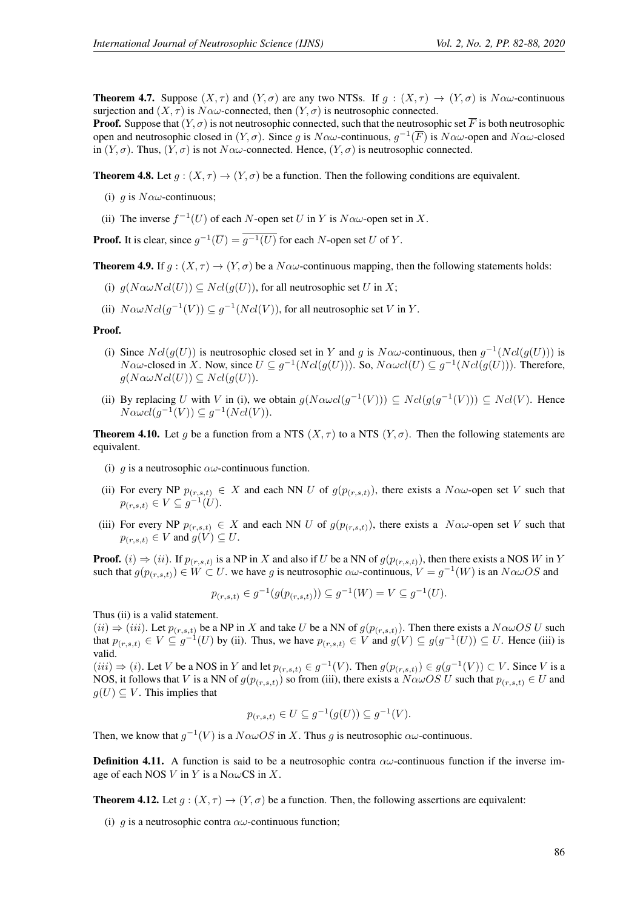**Theorem 4.7.** Suppose  $(X, \tau)$  and  $(Y, \sigma)$  are any two NTSs. If  $q : (X, \tau) \to (Y, \sigma)$  is  $N \alpha \omega$ -continuous surjection and  $(X, \tau)$  is  $N\alpha\omega$ -connected, then  $(Y, \sigma)$  is neutrosophic connected.

**Proof.** Suppose that  $(Y, \sigma)$  is not neutrosophic connected, such that the neutrosophic set  $\overline{F}$  is both neutrosophic open and neutrosophic closed in  $(Y, \sigma)$ . Since g is  $N \alpha \omega$ -continuous,  $g^{-1}(\overline{F})$  is  $N \alpha \omega$ -open and  $N \alpha \omega$ -closed in  $(Y, \sigma)$ . Thus,  $(Y, \sigma)$  is not  $N \alpha \omega$ -connected. Hence,  $(Y, \sigma)$  is neutrosophic connected.

**Theorem 4.8.** Let  $q: (X, \tau) \to (Y, \sigma)$  be a function. Then the following conditions are equivalent.

- (i) q is  $N\alpha\omega$ -continuous;
- (ii) The inverse  $f^{-1}(U)$  of each N-open set U in Y is  $N \alpha \omega$ -open set in X.

**Proof.** It is clear, since  $g^{-1}(\overline{U}) = \overline{g^{-1}(U)}$  for each N-open set U of Y.

**Theorem 4.9.** If  $g : (X, \tau) \to (Y, \sigma)$  be a  $N \alpha \omega$ -continuous mapping, then the following statements holds:

- (i)  $g(N \alpha \omega N cl(U)) \subseteq N cl(g(U))$ , for all neutrosophic set U in X;
- (ii)  $N \alpha \omega N cl(g^{-1}(V)) \subseteq g^{-1}(N cl(V))$ , for all neutrosophic set V in Y.

#### Proof.

- (i) Since  $Ncl(g(U))$  is neutrosophic closed set in Y and g is  $N \alpha \omega$ -continuous, then  $g^{-1}(Ncl(g(U)))$  is  $N \alpha \omega$ -closed in X. Now, since  $U \subseteq g^{-1}(Ncl(g(U)))$ . So,  $N \alpha \omega cl(U) \subseteq g^{-1}(Ncl(g(U)))$ . Therefore,  $g(N \alpha \omega N cl(U)) \subseteq N cl(g(U)).$
- (ii) By replacing U with V in (i), we obtain  $g(N \alpha \omega cl(g^{-1}(V))) \subseteq N cl(g(g^{-1}(V))) \subseteq N cl(V)$ . Hence  $N \alpha \omega cl(g^{-1}(V)) \subseteq g^{-1}(Ncl(V)).$

**Theorem 4.10.** Let g be a function from a NTS  $(X, \tau)$  to a NTS  $(Y, \sigma)$ . Then the following statements are equivalent.

- (i) g is a neutrosophic  $\alpha\omega$ -continuous function.
- (ii) For every NP  $p_{(r,s,t)} \in X$  and each NN U of  $g(p_{(r,s,t)})$ , there exists a  $N \alpha \omega$ -open set V such that  $p_{(r,s,t)} \in V \subseteq g^{-1}(U)$ .
- (iii) For every NP  $p_{(r,s,t)} \in X$  and each NN U of  $g(p_{(r,s,t)})$ , there exists a  $N \alpha \omega$ -open set V such that  $p_{(r,s,t)} \in V$  and  $g(V) \subseteq U$ .

**Proof.** (i)  $\Rightarrow$  (ii). If  $p_{(r,s,t)}$  is a NP in X and also if U be a NN of  $g(p_{(r,s,t)})$ , then there exists a NOS W in Y such that  $g(p_{(r,s,t)}) \in W \subset U$ . we have g is neutrosophic  $\alpha\omega$ -continuous,  $V = g^{-1}(W)$  is an  $N\alpha\omega OS$  and

$$
p_{(r,s,t)} \in g^{-1}(g(p_{(r,s,t)})) \subseteq g^{-1}(W) = V \subseteq g^{-1}(U).
$$

Thus (ii) is a valid statement.

 $(ii) \Rightarrow (iii)$ . Let  $p_{(r,s,t)}$  be a NP in X and take U be a NN of  $g(p_{(r,s,t)})$ . Then there exists a  $N \alpha \omega OS$  U such that  $p_{(r,s,t)} \in V \subseteq g^{-1}(U)$  by (ii). Thus, we have  $p_{(r,s,t)} \in V$  and  $g(V) \subseteq g(g^{-1}(U)) \subseteq U$ . Hence (iii) is valid.

 $(iii) \Rightarrow (i)$ . Let V be a NOS in Y and let  $p_{(r,s,t)} \in g^{-1}(V)$ . Then  $g(p_{(r,s,t)}) \in g(g^{-1}(V)) \subset V$ . Since V is a NOS, it follows that V is a NN of  $g(p_{(r,s,t)})$  so from (iii), there exists a  $N \alpha \omega OS U$  such that  $p_{(r,s,t)} \in U$  and  $g(U) \subseteq V$ . This implies that

$$
p_{(r,s,t)} \in U \subseteq g^{-1}(g(U)) \subseteq g^{-1}(V).
$$

Then, we know that  $g^{-1}(V)$  is a  $N \alpha \omega OS$  in X. Thus g is neutrosophic  $\alpha \omega$ -continuous.

**Definition 4.11.** A function is said to be a neutrosophic contra  $\alpha\omega$ -continuous function if the inverse image of each NOS V in Y is a N $\alpha\omega$ CS in X.

**Theorem 4.12.** Let  $q: (X, \tau) \to (Y, \sigma)$  be a function. Then, the following assertions are equivalent:

(i) q is a neutrosophic contra  $\alpha\omega$ -continuous function;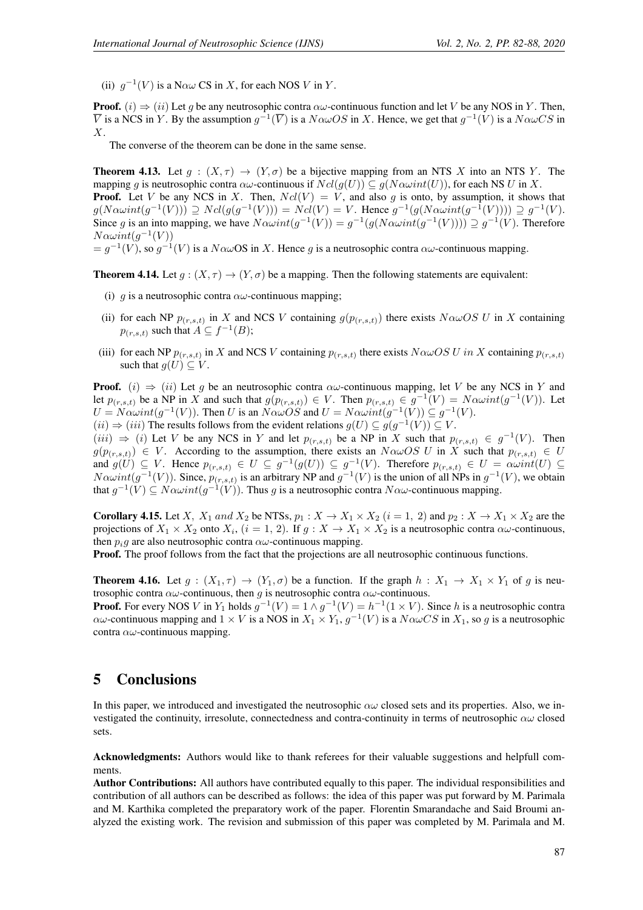(ii)  $g^{-1}(V)$  is a N $\alpha\omega$  CS in X, for each NOS V in Y.

**Proof.** (i)  $\Rightarrow$  (ii) Let g be any neutrosophic contra  $\alpha\omega$ -continuous function and let V be any NOS in Y. Then,  $\overline{V}$  is a NCS in Y. By the assumption  $g^{-1}(\overline{V})$  is a  $N \alpha \omega OS$  in X. Hence, we get that  $g^{-1}(V)$  is a  $N \alpha \omega CS$  in X.

The converse of the theorem can be done in the same sense.

**Theorem 4.13.** Let  $g : (X, \tau) \to (Y, \sigma)$  be a bijective mapping from an NTS X into an NTS Y. The mapping q is neutrosophic contra  $\alpha\omega$ -continuous if  $Ncl(q(U)) \subset q(N\alpha\omega int(U))$ , for each NS U in X. **Proof.** Let V be any NCS in X. Then,  $Ncl(V) = V$ , and also q is onto, by assumption, it shows that  $g(N\alpha\omega int(g^{-1}(V))) \supseteq Ncl(g(g^{-1}(V))) = Ncl(V) = V$ . Hence  $g^{-1}(g(N\alpha\omega int(g^{-1}(V)))) \supseteq g^{-1}(V)$ . Since g is an into mapping, we have  $N\alpha\omega int(g^{-1}(V)) = g^{-1}(g(N\alpha\omega int(g^{-1}(V)))) \supseteq g^{-1}(V)$ . Therefore  $N\alpha\omega int(g^{-1}(V))$ 

 $= g^{-1}(V)$ , so  $g^{-1}(V)$  is a  $N \alpha \omega$ OS in X. Hence g is a neutrosophic contra  $\alpha \omega$ -continuous mapping.

**Theorem 4.14.** Let  $q: (X, \tau) \to (Y, \sigma)$  be a mapping. Then the following statements are equivalent:

- (i) g is a neutrosophic contra  $\alpha\omega$ -continuous mapping;
- (ii) for each NP  $p_{(r,s,t)}$  in X and NCS V containing  $g(p_{(r,s,t)})$  there exists  $N \alpha \omega OS \ U$  in X containing  $p_{(r,s,t)}$  such that  $A \subseteq f^{-1}(B)$ ;
- (iii) for each NP  $p_{(r,s,t)}$  in X and NCS V containing  $p_{(r,s,t)}$  there exists  $N \alpha \omega OS \, U$  in X containing  $p_{(r,s,t)}$ such that  $g(U) \subseteq V$ .

**Proof.** (i)  $\Rightarrow$  (ii) Let g be an neutrosophic contra  $\alpha\omega$ -continuous mapping, let V be any NCS in Y and let  $p_{(r,s,t)}$  be a NP in X and such that  $g(p_{(r,s,t)}) \in V$ . Then  $p_{(r,s,t)} \in g^{-1}(V) = N \alpha \omega int(g^{-1}(V))$ . Let  $U = N \alpha \omega int(g^{-1}(V))$ . Then U is an  $N \alpha \omega \overline{OS}$  and  $U = N \alpha \omega int(g^{-1}(V)) \subseteq g^{-1}(V)$ .

 $(ii) \Rightarrow (iii)$  The results follows from the evident relations  $g(U) \subseteq g(g^{-1}(V)) \subseteq V$ .

 $(iii) \Rightarrow (i)$  Let V be any NCS in Y and let  $p_{(r,s,t)}$  be a NP in X such that  $p_{(r,s,t)} \in g^{-1}(V)$ . Then  $g(p_{(r,s,t)}) \in V$ . According to the assumption, there exists an  $N \alpha \omega OS \ U$  in X such that  $p_{(r,s,t)} \in U$ and  $g(U) \subseteq V$ . Hence  $p_{(r,s,t)} \in U \subseteq g^{-1}(g(U)) \subseteq g^{-1}(V)$ . Therefore  $p_{(r,s,t)} \in U = \alpha \omega int(U) \subseteq$  $N\alpha\omega int(g^{-1}(V))$ . Since,  $p_{(r,s,t)}$  is an arbitrary NP and  $g^{-1}(V)$  is the union of all NPs in  $g^{-1}(V)$ , we obtain that  $g^{-1}(V) \subseteq N \alpha \omega int(g^{-1}(V))$ . Thus g is a neutrosophic contra  $N \alpha \omega$ -continuous mapping.

**Corollary 4.15.** Let X,  $X_1$  and  $X_2$  be NTSs,  $p_1 : X \to X_1 \times X_2$   $(i = 1, 2)$  and  $p_2 : X \to X_1 \times X_2$  are the projections of  $X_1 \times X_2$  onto  $X_i$ ,  $(i = 1, 2)$ . If  $g: X \to X_1 \times X_2$  is a neutrosophic contra  $\alpha\omega$ -continuous, then  $p_i$ g are also neutrosophic contra  $\alpha\omega$ -continuous mapping.

**Proof.** The proof follows from the fact that the projections are all neutrosophic continuous functions.

**Theorem 4.16.** Let  $g : (X_1, \tau) \to (Y_1, \sigma)$  be a function. If the graph  $h : X_1 \to X_1 \times Y_1$  of g is neutrosophic contra  $\alpha\omega$ -continuous, then g is neutrosophic contra  $\alpha\omega$ -continuous.

**Proof.** For every NOS V in  $Y_1$  holds  $g^{-1}(V) = 1 \wedge g^{-1}(V) = h^{-1}(1 \times V)$ . Since h is a neutrosophic contra  $\alpha\omega$ -continuous mapping and  $1 \times V$  is a NOS in  $X_1 \times Y_1$ ,  $g^{-1}(V)$  is a  $N\alpha\omega CS$  in  $X_1$ , so g is a neutrosophic contra  $\alpha\omega$ -continuous mapping.

### 5 Conclusions

In this paper, we introduced and investigated the neutrosophic  $\alpha\omega$  closed sets and its properties. Also, we investigated the continuity, irresolute, connectedness and contra-continuity in terms of neutrosophic  $\alpha\omega$  closed sets.

Acknowledgments: Authors would like to thank referees for their valuable suggestions and helpfull comments.

Author Contributions: All authors have contributed equally to this paper. The individual responsibilities and contribution of all authors can be described as follows: the idea of this paper was put forward by M. Parimala and M. Karthika completed the preparatory work of the paper. Florentin Smarandache and Said Broumi analyzed the existing work. The revision and submission of this paper was completed by M. Parimala and M.